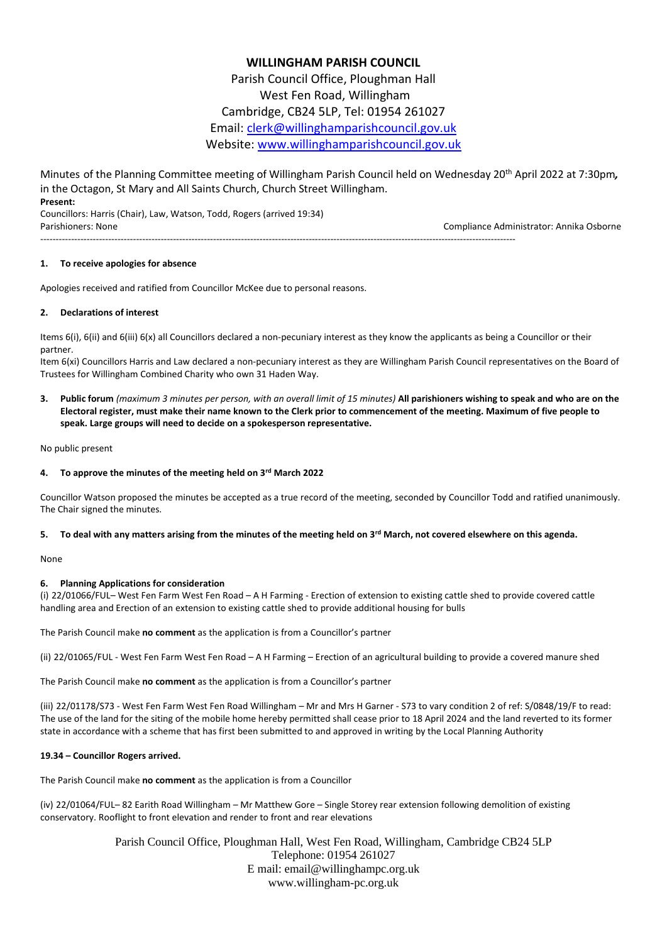# **WILLINGHAM PARISH COUNCIL**

Parish Council Office, Ploughman Hall West Fen Road, Willingham Cambridge, CB24 5LP, Tel: 01954 261027 Email: [clerk@willinghamparishcouncil.gov.uk](mailto:clerk@willinghamparishcouncil.gov.uk) Website: [www.willinghamparishcouncil.gov.uk](http://www.willinghamparishcouncil.gov.uk/)

Minutes of the Planning Committee meeting of Willingham Parish Council held on Wednesday 20th April 2022 at 7:30pm*,* in the Octagon, St Mary and All Saints Church, Church Street Willingham. **Present:**

Councillors: Harris (Chair), Law, Watson, Todd, Rogers (arrived 19:34) Parishioners: None Compliance Administrator: Annika Osborne

----------------------------------------------------------------------------------------------------------------------------------------------------------

## **1. To receive apologies for absence**

Apologies received and ratified from Councillor McKee due to personal reasons.

#### **2. Declarations of interest**

Items 6(i), 6(ii) and 6(iii) 6(x) all Councillors declared a non-pecuniary interest as they know the applicants as being a Councillor or their partner.

Item 6(xi) Councillors Harris and Law declared a non-pecuniary interest as they are Willingham Parish Council representatives on the Board of Trustees for Willingham Combined Charity who own 31 Haden Way.

**3. Public forum** *(maximum 3 minutes per person, with an overall limit of 15 minutes)* **All parishioners wishing to speak and who are on the Electoral register, must make their name known to the Clerk prior to commencement of the meeting. Maximum of five people to speak. Large groups will need to decide on a spokesperson representative.**

No public present

#### **4. To approve the minutes of the meeting held on 3rd March 2022**

Councillor Watson proposed the minutes be accepted as a true record of the meeting, seconded by Councillor Todd and ratified unanimously. The Chair signed the minutes.

#### **5. To deal with any matters arising from the minutes of the meeting held on 3rd March, not covered elsewhere on this agenda.**

None

#### **6. Planning Applications for consideration**

(i) 22/01066/FUL– West Fen Farm West Fen Road – A H Farming - Erection of extension to existing cattle shed to provide covered cattle handling area and Erection of an extension to existing cattle shed to provide additional housing for bulls

The Parish Council make **no comment** as the application is from a Councillor's partner

(ii) 22/01065/FUL - West Fen Farm West Fen Road – A H Farming – Erection of an agricultural building to provide a covered manure shed

The Parish Council make **no comment** as the application is from a Councillor's partner

(iii) 22/01178/S73 - West Fen Farm West Fen Road Willingham – Mr and Mrs H Garner - S73 to vary condition 2 of ref: S/0848/19/F to read: The use of the land for the siting of the mobile home hereby permitted shall cease prior to 18 April 2024 and the land reverted to its former state in accordance with a scheme that has first been submitted to and approved in writing by the Local Planning Authority

#### **19.34 – Councillor Rogers arrived.**

The Parish Council make **no comment** as the application is from a Councillor

(iv) 22/01064/FUL– 82 Earith Road Willingham – Mr Matthew Gore – Single Storey rear extension following demolition of existing conservatory. Rooflight to front elevation and render to front and rear elevations

> Parish Council Office, Ploughman Hall, West Fen Road, Willingham, Cambridge CB24 5LP Telephone: 01954 261027 E mail: email@willinghampc.org.uk www.willingham-pc.org.uk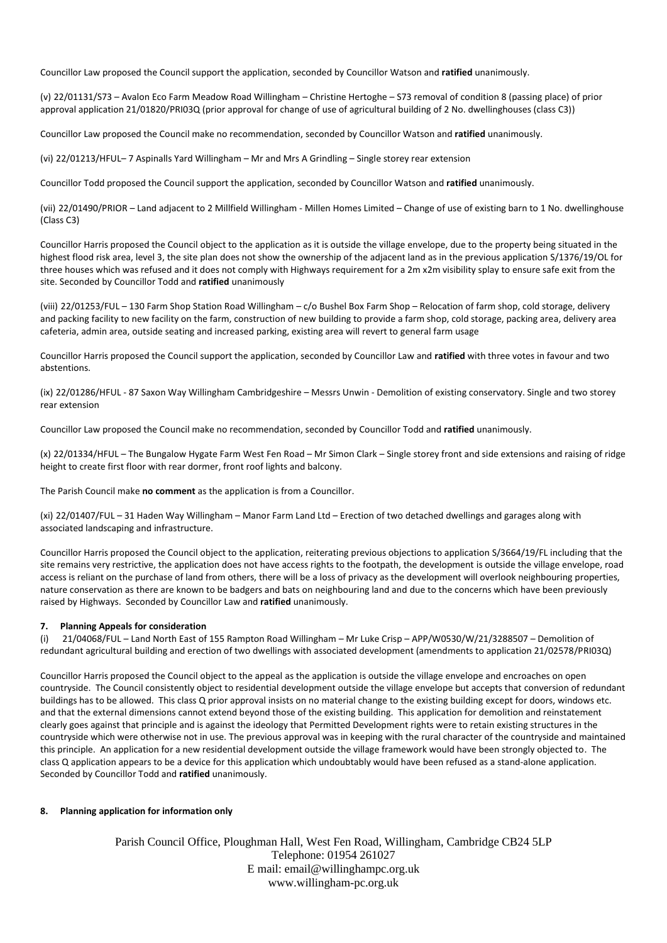Councillor Law proposed the Council support the application, seconded by Councillor Watson and **ratified** unanimously.

(v) 22/01131/S73 – Avalon Eco Farm Meadow Road Willingham – Christine Hertoghe – S73 removal of condition 8 (passing place) of prior approval application 21/01820/PRI03Q (prior approval for change of use of agricultural building of 2 No. dwellinghouses (class C3))

Councillor Law proposed the Council make no recommendation, seconded by Councillor Watson and **ratified** unanimously.

(vi) 22/01213/HFUL– 7 Aspinalls Yard Willingham – Mr and Mrs A Grindling – Single storey rear extension

Councillor Todd proposed the Council support the application, seconded by Councillor Watson and **ratified** unanimously.

(vii) 22/01490/PRIOR – Land adjacent to 2 Millfield Willingham - Millen Homes Limited – Change of use of existing barn to 1 No. dwellinghouse (Class C3)

Councillor Harris proposed the Council object to the application as it is outside the village envelope, due to the property being situated in the highest flood risk area, level 3, the site plan does not show the ownership of the adjacent land as in the previous application S/1376/19/OL for three houses which was refused and it does not comply with Highways requirement for a 2m x2m visibility splay to ensure safe exit from the site. Seconded by Councillor Todd and **ratified** unanimously

(viii) 22/01253/FUL – 130 Farm Shop Station Road Willingham – c/o Bushel Box Farm Shop – Relocation of farm shop, cold storage, delivery and packing facility to new facility on the farm, construction of new building to provide a farm shop, cold storage, packing area, delivery area cafeteria, admin area, outside seating and increased parking, existing area will revert to general farm usage

Councillor Harris proposed the Council support the application, seconded by Councillor Law and **ratified** with three votes in favour and two abstentions.

(ix) 22/01286/HFUL - 87 Saxon Way Willingham Cambridgeshire – Messrs Unwin - Demolition of existing conservatory. Single and two storey rear extension

Councillor Law proposed the Council make no recommendation, seconded by Councillor Todd and **ratified** unanimously.

(x) 22/01334/HFUL – The Bungalow Hygate Farm West Fen Road – Mr Simon Clark – Single storey front and side extensions and raising of ridge height to create first floor with rear dormer, front roof lights and balcony.

The Parish Council make **no comment** as the application is from a Councillor.

(xi) 22/01407/FUL – 31 Haden Way Willingham – Manor Farm Land Ltd – Erection of two detached dwellings and garages along with associated landscaping and infrastructure.

Councillor Harris proposed the Council object to the application, reiterating previous objections to application S/3664/19/FL including that the site remains very restrictive, the application does not have access rights to the footpath, the development is outside the village envelope, road access is reliant on the purchase of land from others, there will be a loss of privacy as the development will overlook neighbouring properties, nature conservation as there are known to be badgers and bats on neighbouring land and due to the concerns which have been previously raised by Highways. Seconded by Councillor Law and **ratified** unanimously.

#### **7. Planning Appeals for consideration**

(i) 21/04068/FUL – Land North East of 155 Rampton Road Willingham – Mr Luke Crisp – APP/W0530/W/21/3288507 – Demolition of redundant agricultural building and erection of two dwellings with associated development (amendments to application 21/02578/PRI03Q)

Councillor Harris proposed the Council object to the appeal as the application is outside the village envelope and encroaches on open countryside. The Council consistently object to residential development outside the village envelope but accepts that conversion of redundant buildings has to be allowed. This class Q prior approval insists on no material change to the existing building except for doors, windows etc. and that the external dimensions cannot extend beyond those of the existing building. This application for demolition and reinstatement clearly goes against that principle and is against the ideology that Permitted Development rights were to retain existing structures in the countryside which were otherwise not in use. The previous approval was in keeping with the rural character of the countryside and maintained this principle. An application for a new residential development outside the village framework would have been strongly objected to. The class Q application appears to be a device for this application which undoubtably would have been refused as a stand-alone application. Seconded by Councillor Todd and **ratified** unanimously.

#### **8. Planning application for information only**

Parish Council Office, Ploughman Hall, West Fen Road, Willingham, Cambridge CB24 5LP Telephone: 01954 261027 E mail: email@willinghampc.org.uk www.willingham-pc.org.uk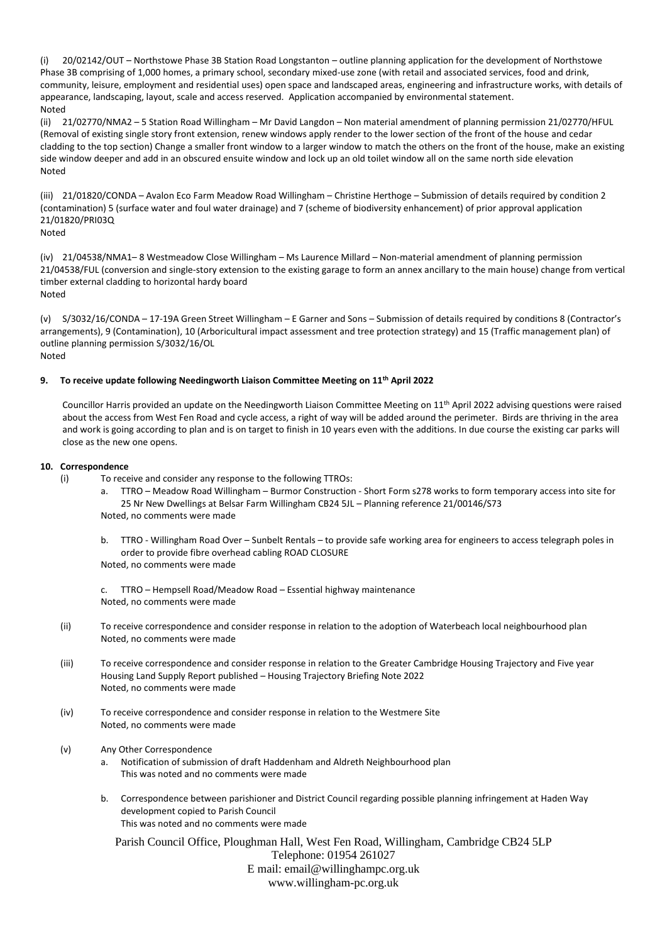(i) 20/02142/OUT – Northstowe Phase 3B Station Road Longstanton – outline planning application for the development of Northstowe Phase 3B comprising of 1,000 homes, a primary school, secondary mixed-use zone (with retail and associated services, food and drink, community, leisure, employment and residential uses) open space and landscaped areas, engineering and infrastructure works, with details of appearance, landscaping, layout, scale and access reserved. Application accompanied by environmental statement. Noted

(ii) 21/02770/NMA2 – 5 Station Road Willingham – Mr David Langdon – Non material amendment of planning permission 21/02770/HFUL (Removal of existing single story front extension, renew windows apply render to the lower section of the front of the house and cedar cladding to the top section) Change a smaller front window to a larger window to match the others on the front of the house, make an existing side window deeper and add in an obscured ensuite window and lock up an old toilet window all on the same north side elevation Noted

(iii) 21/01820/CONDA – Avalon Eco Farm Meadow Road Willingham – Christine Herthoge – Submission of details required by condition 2 (contamination) 5 (surface water and foul water drainage) and 7 (scheme of biodiversity enhancement) of prior approval application 21/01820/PRI03Q

Noted

(iv) 21/04538/NMA1– 8 Westmeadow Close Willingham – Ms Laurence Millard – Non-material amendment of planning permission 21/04538/FUL (conversion and single-story extension to the existing garage to form an annex ancillary to the main house) change from vertical timber external cladding to horizontal hardy board Noted

(v) S/3032/16/CONDA – 17-19A Green Street Willingham – E Garner and Sons – Submission of details required by conditions 8 (Contractor's arrangements), 9 (Contamination), 10 (Arboricultural impact assessment and tree protection strategy) and 15 (Traffic management plan) of outline planning permission S/3032/16/OL Noted

## **9. To receive update following Needingworth Liaison Committee Meeting on 11th April 2022**

Councillor Harris provided an update on the Needingworth Liaison Committee Meeting on 11th April 2022 advising questions were raised about the access from West Fen Road and cycle access, a right of way will be added around the perimeter. Birds are thriving in the area and work is going according to plan and is on target to finish in 10 years even with the additions. In due course the existing car parks will close as the new one opens.

#### **10. Correspondence**

- (i) To receive and consider any response to the following TTROs:
	- a. TTRO Meadow Road Willingham Burmor Construction Short Form s278 works to form temporary access into site for 25 Nr New Dwellings at Belsar Farm Willingham CB24 5JL – Planning reference 21/00146/S73 Noted, no comments were made
	- b. TTRO Willingham Road Over Sunbelt Rentals to provide safe working area for engineers to access telegraph poles in order to provide fibre overhead cabling ROAD CLOSURE

Noted, no comments were made

c. TTRO – Hempsell Road/Meadow Road – Essential highway maintenance Noted, no comments were made

- (ii) To receive correspondence and consider response in relation to the adoption of Waterbeach local neighbourhood plan Noted, no comments were made
- (iii) To receive correspondence and consider response in relation to the Greater Cambridge Housing Trajectory and Five year Housing Land Supply Report published – Housing Trajectory Briefing Note 2022 Noted, no comments were made
- (iv) To receive correspondence and consider response in relation to the Westmere Site Noted, no comments were made
- (v) Any Other Correspondence
	- a. Notification of submission of draft Haddenham and Aldreth Neighbourhood plan This was noted and no comments were made
	- b. Correspondence between parishioner and District Council regarding possible planning infringement at Haden Way development copied to Parish Council This was noted and no comments were made

Parish Council Office, Ploughman Hall, West Fen Road, Willingham, Cambridge CB24 5LP Telephone: 01954 261027 E mail: email@willinghampc.org.uk www.willingham-pc.org.uk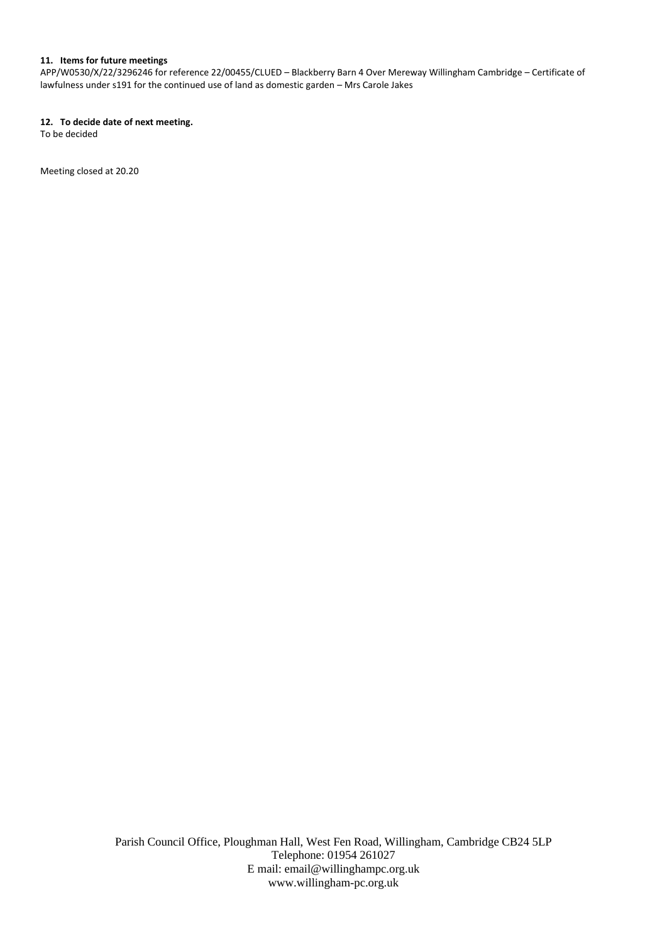### **11. Items for future meetings**

APP/W0530/X/22/3296246 for reference 22/00455/CLUED – Blackberry Barn 4 Over Mereway Willingham Cambridge – Certificate of lawfulness under s191 for the continued use of land as domestic garden – Mrs Carole Jakes

### **12. To decide date of next meeting.**

To be decided

Meeting closed at 20.20